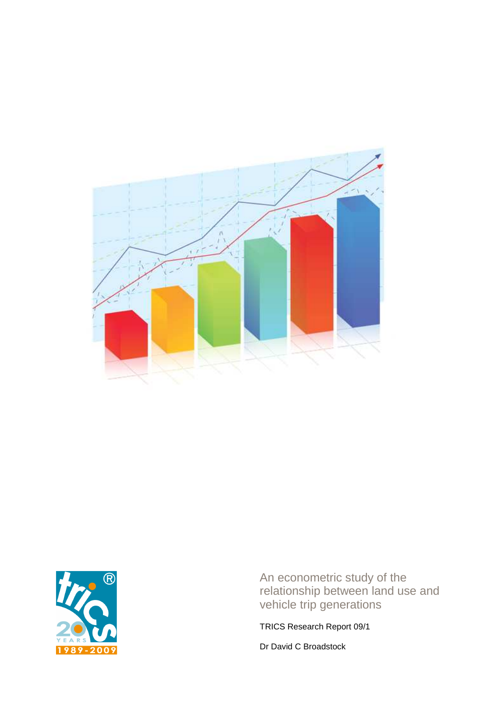



An econometric study of the relationship between land use and vehicle trip generations

TRICS Research Report 09/1

Dr David C Broadstock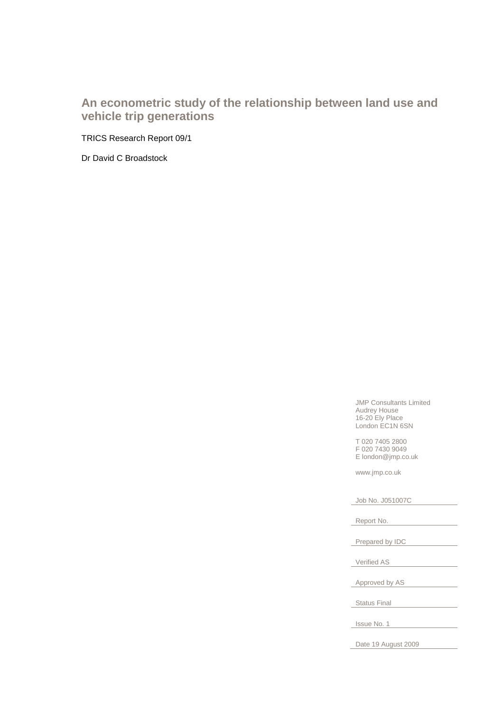## **An econometric study of the relationship between land use and vehicle trip generations**

TRICS Research Report 09/1

Dr David C Broadstock

JMP Consultants Limited Audrey House 16-20 Ely Place London EC1N 6SN

T 020 7405 2800 F 020 7430 9049 E london@jmp.co.uk

www.jmp.co.uk

Job No. J051007C

Report No.

Prepared by IDC

Verified AS

Approved by AS

Status Final

Issue No. 1

Date 19 August 2009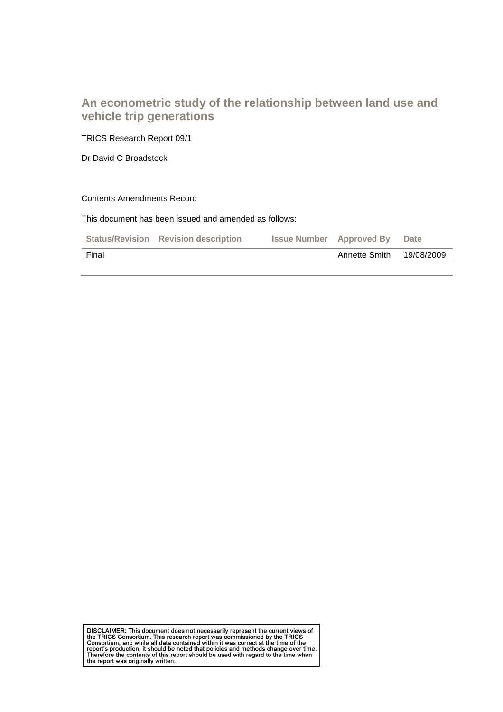## **An econometric study of the relationship between land use and vehicle trip generations**

TRICS Research Report 09/1

Dr David C Broadstock

#### Contents Amendments Record

This document has been issued and amended as follows:

|       | <b>Status/Revision Revision description</b> | <b>Issue Number</b> Approved By | Date       |
|-------|---------------------------------------------|---------------------------------|------------|
| Final |                                             | Annette Smith                   | 19/08/2009 |

DISCLAIMER: This document does not necessarily represent the current views of<br>the TRICS Consortium. This research report was commissioned by the TRICS<br>Consortium, and while all data contained within it was correct at the t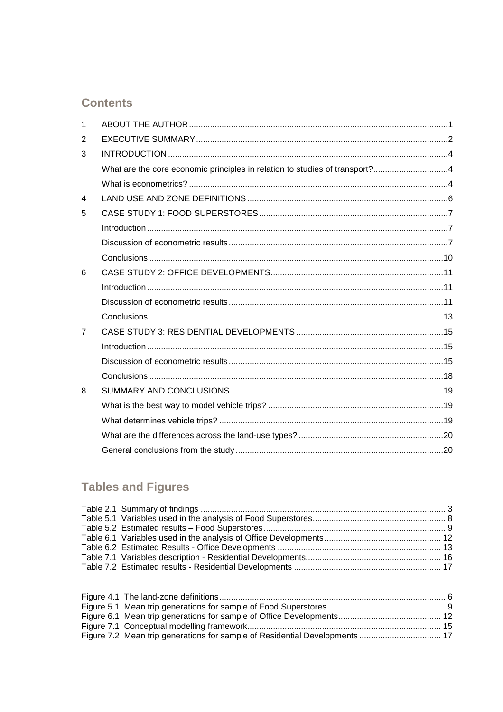## **Contents**

| $\mathbf{1}$   |                                                                             |  |
|----------------|-----------------------------------------------------------------------------|--|
| 2              |                                                                             |  |
| 3              |                                                                             |  |
|                | What are the core economic principles in relation to studies of transport?4 |  |
|                |                                                                             |  |
| $\overline{4}$ |                                                                             |  |
| 5              |                                                                             |  |
|                |                                                                             |  |
|                |                                                                             |  |
|                |                                                                             |  |
| 6              |                                                                             |  |
|                |                                                                             |  |
|                |                                                                             |  |
|                |                                                                             |  |
| $\overline{7}$ |                                                                             |  |
|                |                                                                             |  |
|                |                                                                             |  |
|                |                                                                             |  |
| 8              |                                                                             |  |
|                |                                                                             |  |
|                |                                                                             |  |
|                |                                                                             |  |
|                |                                                                             |  |

# **Tables and Figures**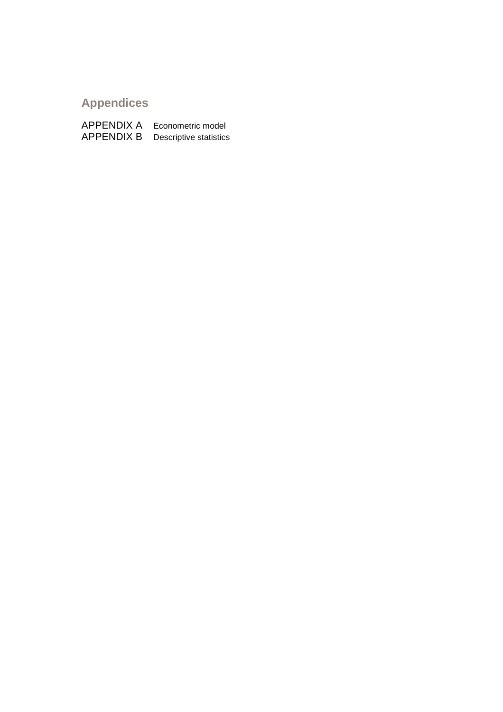# **Appendices**

APPENDIX A Econometric model APPENDIX B Descriptive statistics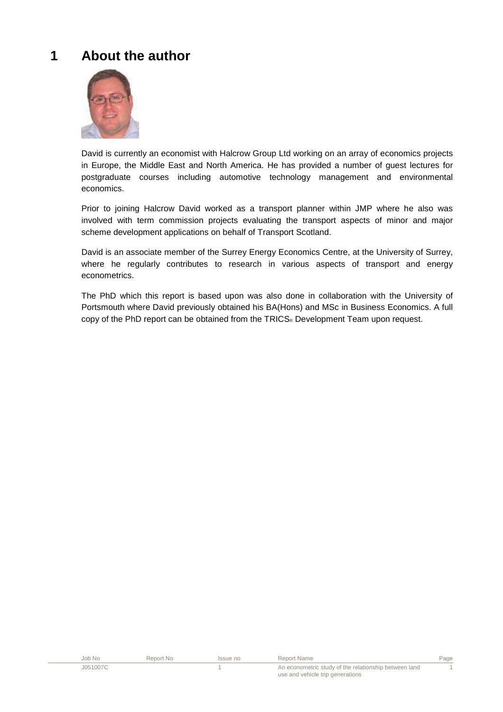# **1 About the author**



David is currently an economist with Halcrow Group Ltd working on an array of economics projects in Europe, the Middle East and North America. He has provided a number of guest lectures for postgraduate courses including automotive technology management and environmental economics.

Prior to joining Halcrow David worked as a transport planner within JMP where he also was involved with term commission projects evaluating the transport aspects of minor and major scheme development applications on behalf of Transport Scotland.

David is an associate member of the Surrey Energy Economics Centre, at the University of Surrey, where he regularly contributes to research in various aspects of transport and energy econometrics.

The PhD which this report is based upon was also done in collaboration with the University of Portsmouth where David previously obtained his BA(Hons) and MSc in Business Economics. A full copy of the PhD report can be obtained from the TRICS® Development Team upon request.

| Job No   | Report No | Issue no | Report Name                                           | Page |
|----------|-----------|----------|-------------------------------------------------------|------|
| J051007C |           |          | An econometric study of the relationship between land |      |
|          |           |          | use and vehicle trip generations                      |      |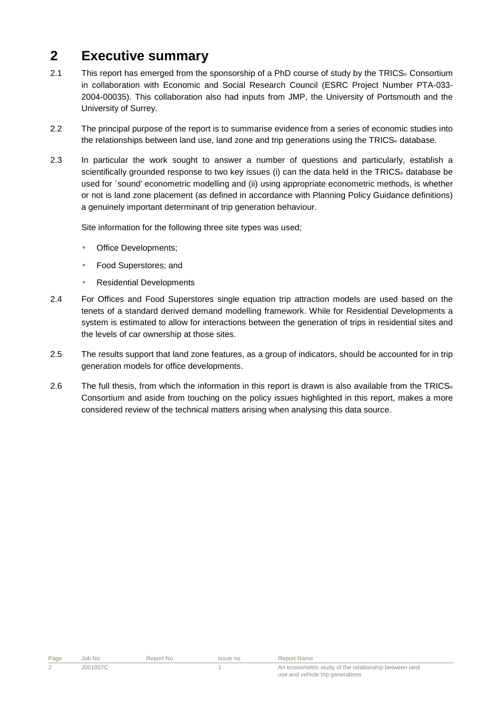# **2 Executive summary**

- 2.1 This report has emerged from the sponsorship of a PhD course of study by the TRICS® Consortium in collaboration with Economic and Social Research Council (ESRC Project Number PTA-033- 2004-00035). This collaboration also had inputs from JMP, the University of Portsmouth and the University of Surrey.
- 2.2 The principal purpose of the report is to summarise evidence from a series of economic studies into the relationships between land use, land zone and trip generations using the TRICS® database.
- 2.3 In particular the work sought to answer a number of questions and particularly, establish a scientifically grounded response to two key issues (i) can the data held in the TRICS® database be used for `sound' econometric modelling and (ii) using appropriate econometric methods, is whether or not is land zone placement (as defined in accordance with Planning Policy Guidance definitions) a genuinely important determinant of trip generation behaviour.

Site information for the following three site types was used;

- Office Developments;
- Food Superstores; and
- Residential Developments
- 2.4 For Offices and Food Superstores single equation trip attraction models are used based on the tenets of a standard derived demand modelling framework. While for Residential Developments a system is estimated to allow for interactions between the generation of trips in residential sites and the levels of car ownership at those sites.
- 2.5 The results support that land zone features, as a group of indicators, should be accounted for in trip generation models for office developments.
- 2.6 The full thesis, from which the information in this report is drawn is also available from the TRICS $_{\circ}$ Consortium and aside from touching on the policy issues highlighted in this report, makes a more considered review of the technical matters arising when analysing this data source.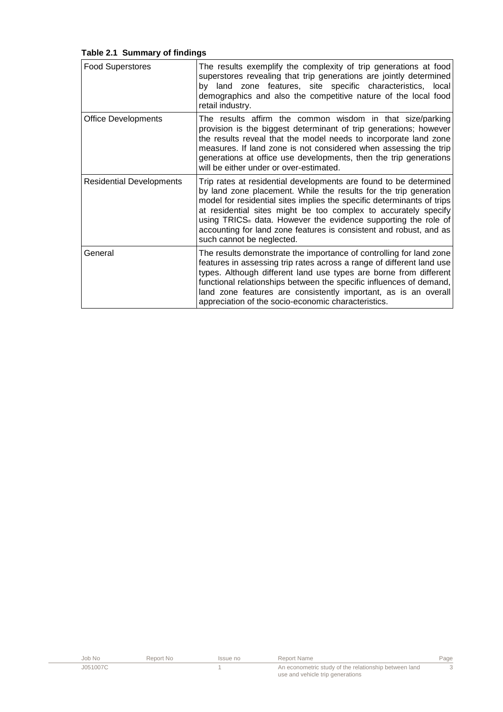|  |  | Table 2.1 Summary of findings |
|--|--|-------------------------------|
|--|--|-------------------------------|

| <b>Food Superstores</b>         | The results exemplify the complexity of trip generations at food<br>superstores revealing that trip generations are jointly determined<br>by land zone features, site specific characteristics, local<br>demographics and also the competitive nature of the local food<br>retail industry.                                                                                                                                                                          |
|---------------------------------|----------------------------------------------------------------------------------------------------------------------------------------------------------------------------------------------------------------------------------------------------------------------------------------------------------------------------------------------------------------------------------------------------------------------------------------------------------------------|
| <b>Office Developments</b>      | The results affirm the common wisdom in that size/parking<br>provision is the biggest determinant of trip generations; however<br>the results reveal that the model needs to incorporate land zone<br>measures. If land zone is not considered when assessing the trip<br>generations at office use developments, then the trip generations<br>will be either under or over-estimated.                                                                               |
| <b>Residential Developments</b> | Trip rates at residential developments are found to be determined<br>by land zone placement. While the results for the trip generation<br>model for residential sites implies the specific determinants of trips<br>at residential sites might be too complex to accurately specify<br>using TRICS <sup>®</sup> data. However the evidence supporting the role of<br>accounting for land zone features is consistent and robust, and as<br>such cannot be neglected. |
| General                         | The results demonstrate the importance of controlling for land zone<br>features in assessing trip rates across a range of different land use<br>types. Although different land use types are borne from different<br>functional relationships between the specific influences of demand,<br>land zone features are consistently important, as is an overall<br>appreciation of the socio-economic characteristics.                                                   |

| Job No   | Report No | Issue no | Report Name                                           | Page |
|----------|-----------|----------|-------------------------------------------------------|------|
| J051007C |           |          | An econometric study of the relationship between land |      |
|          |           |          | use and vehicle trip generations                      |      |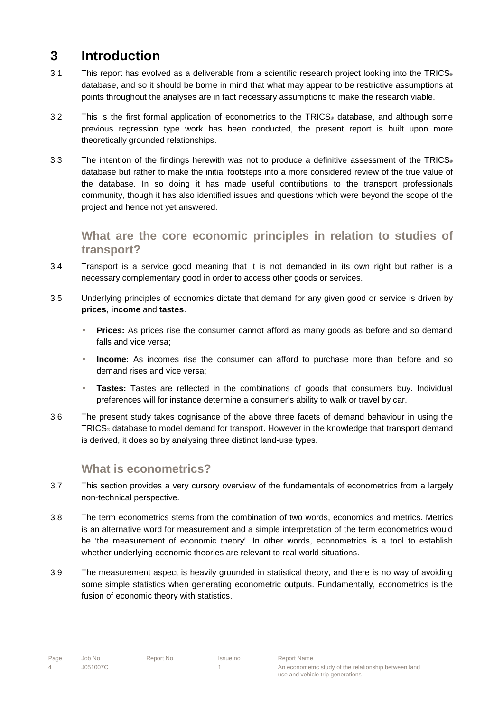# **3 Introduction**

- 3.1 This report has evolved as a deliverable from a scientific research project looking into the TRICS<sup>®</sup> database, and so it should be borne in mind that what may appear to be restrictive assumptions at points throughout the analyses are in fact necessary assumptions to make the research viable.
- 3.2 This is the first formal application of econometrics to the TRICS® database, and although some previous regression type work has been conducted, the present report is built upon more theoretically grounded relationships.
- 3.3 The intention of the findings herewith was not to produce a definitive assessment of the TRICS® database but rather to make the initial footsteps into a more considered review of the true value of the database. In so doing it has made useful contributions to the transport professionals community, though it has also identified issues and questions which were beyond the scope of the project and hence not yet answered.

**What are the core economic principles in relation to studies of transport?** 

- 3.4 Transport is a service good meaning that it is not demanded in its own right but rather is a necessary complementary good in order to access other goods or services.
- 3.5 Underlying principles of economics dictate that demand for any given good or service is driven by **prices**, **income** and **tastes**.
	- **Prices:** As prices rise the consumer cannot afford as many goods as before and so demand falls and vice versa;
	- **Income:** As incomes rise the consumer can afford to purchase more than before and so demand rises and vice versa;
	- **Tastes:** Tastes are reflected in the combinations of goods that consumers buy. Individual preferences will for instance determine a consumer's ability to walk or travel by car.
- 3.6 The present study takes cognisance of the above three facets of demand behaviour in using the TRICS® database to model demand for transport. However in the knowledge that transport demand is derived, it does so by analysing three distinct land-use types.

## **What is econometrics?**

- 3.7 This section provides a very cursory overview of the fundamentals of econometrics from a largely non-technical perspective.
- 3.8 The term econometrics stems from the combination of two words, economics and metrics. Metrics is an alternative word for measurement and a simple interpretation of the term econometrics would be 'the measurement of economic theory'. In other words, econometrics is a tool to establish whether underlying economic theories are relevant to real world situations.
- 3.9 The measurement aspect is heavily grounded in statistical theory, and there is no way of avoiding some simple statistics when generating econometric outputs. Fundamentally, econometrics is the fusion of economic theory with statistics.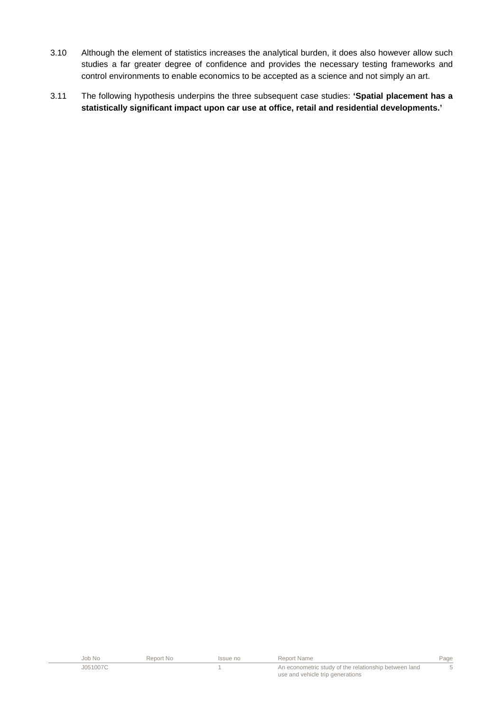- 3.10 Although the element of statistics increases the analytical burden, it does also however allow such studies a far greater degree of confidence and provides the necessary testing frameworks and control environments to enable economics to be accepted as a science and not simply an art.
- 3.11 The following hypothesis underpins the three subsequent case studies: **'Spatial placement has a statistically significant impact upon car use at office, retail and residential developments.'**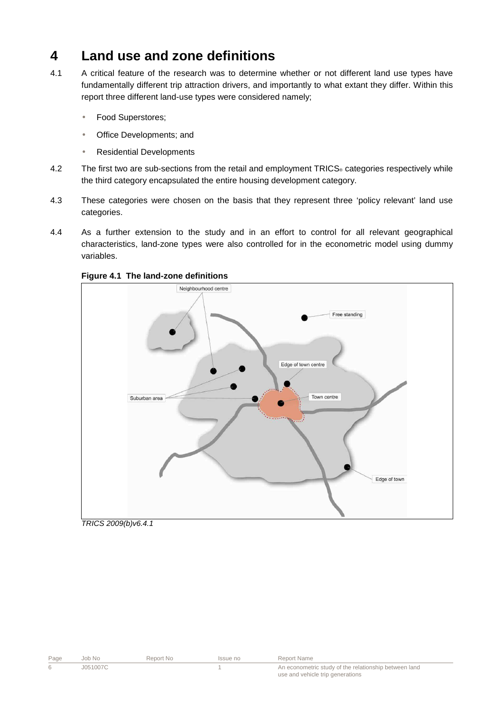## **4 Land use and zone definitions**

- 4.1 A critical feature of the research was to determine whether or not different land use types have fundamentally different trip attraction drivers, and importantly to what extant they differ. Within this report three different land-use types were considered namely;
	- Food Superstores;
	- Office Developments; and
	- Residential Developments
- 4.2 The first two are sub-sections from the retail and employment TRICS® categories respectively while the third category encapsulated the entire housing development category.
- 4.3 These categories were chosen on the basis that they represent three 'policy relevant' land use categories.
- 4.4 As a further extension to the study and in an effort to control for all relevant geographical characteristics, land-zone types were also controlled for in the econometric model using dummy variables.



#### **Figure 4.1 The land-zone definitions**

TRICS 2009(b)v6.4.1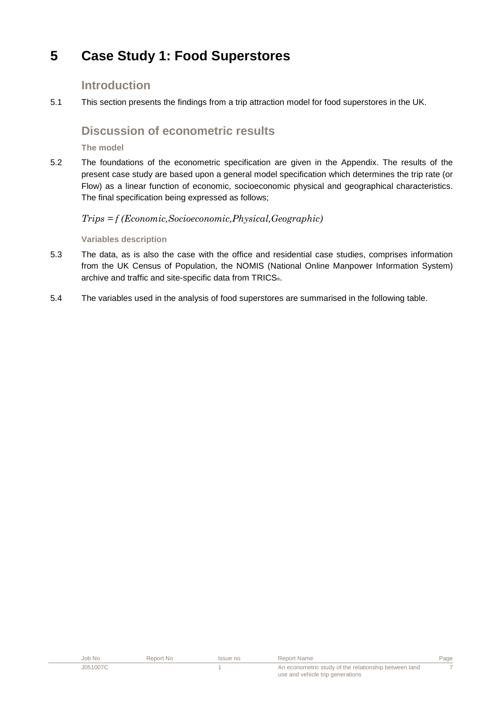# **5 Case Study 1: Food Superstores**

### **Introduction**

5.1 This section presents the findings from a trip attraction model for food superstores in the UK.

### **Discussion of econometric results**

**The model** 

5.2 The foundations of the econometric specification are given in the Appendix. The results of the present case study are based upon a general model specification which determines the trip rate (or Flow) as a linear function of economic, socioeconomic physical and geographical characteristics. The final specification being expressed as follows;

#### Trips = f (Economic,Socioeconomic,Physical,Geographic)

#### **Variables description**

- 5.3 The data, as is also the case with the office and residential case studies, comprises information from the UK Census of Population, the NOMIS (National Online Manpower Information System) archive and traffic and site-specific data from TRICS®.
- 5.4 The variables used in the analysis of food superstores are summarised in the following table.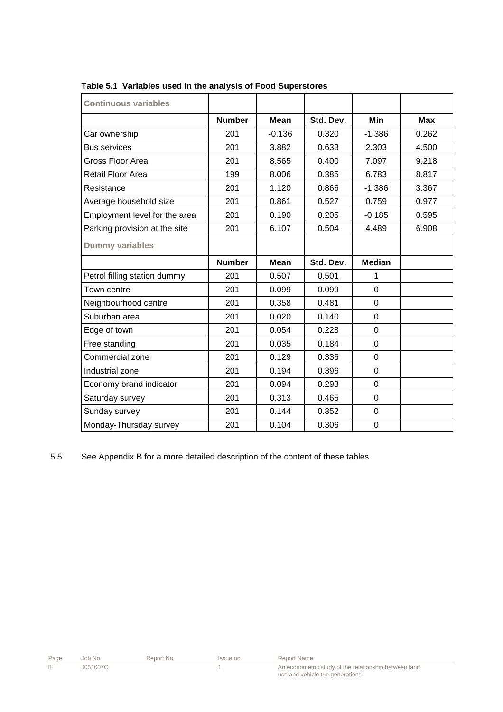| <b>Continuous variables</b>   |               |             |           |                |            |
|-------------------------------|---------------|-------------|-----------|----------------|------------|
|                               | <b>Number</b> | <b>Mean</b> | Std. Dev. | Min            | <b>Max</b> |
| Car ownership                 | 201           | $-0.136$    | 0.320     | $-1.386$       | 0.262      |
| <b>Bus services</b>           | 201           | 3.882       | 0.633     | 2.303          | 4.500      |
| Gross Floor Area              | 201           | 8.565       | 0.400     | 7.097          | 9.218      |
| <b>Retail Floor Area</b>      | 199           | 8.006       | 0.385     | 6.783          | 8.817      |
| Resistance                    | 201           | 1.120       | 0.866     | $-1.386$       | 3.367      |
| Average household size        | 201           | 0.861       | 0.527     | 0.759          | 0.977      |
| Employment level for the area | 201           | 0.190       | 0.205     | $-0.185$       | 0.595      |
| Parking provision at the site | 201           | 6.107       | 0.504     | 4.489          | 6.908      |
| <b>Dummy variables</b>        |               |             |           |                |            |
|                               | <b>Number</b> | <b>Mean</b> | Std. Dev. | <b>Median</b>  |            |
| Petrol filling station dummy  | 201           | 0.507       | 0.501     | 1              |            |
| Town centre                   | 201           | 0.099       | 0.099     | $\overline{0}$ |            |
| Neighbourhood centre          | 201           | 0.358       | 0.481     | $\mathbf 0$    |            |
| Suburban area                 | 201           | 0.020       | 0.140     | $\overline{0}$ |            |
| Edge of town                  | 201           | 0.054       | 0.228     | $\overline{0}$ |            |
| Free standing                 | 201           | 0.035       | 0.184     | $\overline{0}$ |            |
| Commercial zone               | 201           | 0.129       | 0.336     | $\overline{0}$ |            |
| Industrial zone               | 201           | 0.194       | 0.396     | $\overline{0}$ |            |
| Economy brand indicator       | 201           | 0.094       | 0.293     | $\mathbf 0$    |            |
| Saturday survey               | 201           | 0.313       | 0.465     | $\Omega$       |            |
| Sunday survey                 | 201           | 0.144       | 0.352     | $\mathbf 0$    |            |
| Monday-Thursday survey        | 201           | 0.104       | 0.306     | $\mathbf 0$    |            |

**Table 5.1 Variables used in the analysis of Food Superstores** 

5.5 See Appendix B for a more detailed description of the content of these tables.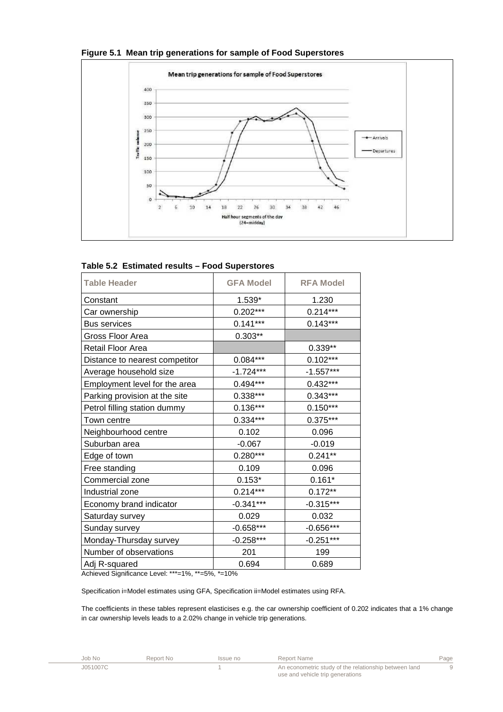

#### **Figure 5.1 Mean trip generations for sample of Food Superstores**

|  |  |  |  | Table 5.2 Estimated results - Food Superstores |
|--|--|--|--|------------------------------------------------|
|--|--|--|--|------------------------------------------------|

| <b>Table Header</b>            | <b>GFA Model</b> | <b>RFA Model</b> |  |
|--------------------------------|------------------|------------------|--|
| Constant                       | $1.539*$         | 1.230            |  |
| Car ownership                  | $0.202***$       | $0.214***$       |  |
| <b>Bus services</b>            | $0.141***$       | $0.143***$       |  |
| Gross Floor Area               | $0.303**$        |                  |  |
| Retail Floor Area              |                  | 0.339**          |  |
| Distance to nearest competitor | $0.084***$       | $0.102***$       |  |
| Average household size         | $-1.724***$      | $-1.557***$      |  |
| Employment level for the area  | $0.494***$       | $0.432***$       |  |
| Parking provision at the site  | 0.338***         | $0.343***$       |  |
| Petrol filling station dummy   | $0.136***$       | $0.150***$       |  |
| Town centre                    | $0.334***$       | $0.375***$       |  |
| Neighbourhood centre           | 0.102            | 0.096            |  |
| Suburban area                  | $-0.067$         | $-0.019$         |  |
| Edge of town                   | $0.280***$       | $0.241**$        |  |
| Free standing                  | 0.109            | 0.096            |  |
| Commercial zone                | $0.153*$         | $0.161*$         |  |
| Industrial zone                | $0.214***$       | $0.172**$        |  |
| Economy brand indicator        | $-0.341***$      | $-0.315***$      |  |
| Saturday survey                | 0.029            | 0.032            |  |
| Sunday survey                  | $-0.658***$      | $-0.656***$      |  |
| Monday-Thursday survey         | $-0.258***$      | $-0.251***$      |  |
| Number of observations         | 201              | 199              |  |
| Adj R-squared                  | 0.694            | 0.689            |  |

Achieved Significance Level: \*\*\*=1%, \*\*=5%, \*=10%

Specification i=Model estimates using GFA, Specification ii=Model estimates using RFA.

The coefficients in these tables represent elasticises e.g. the car ownership coefficient of 0.202 indicates that a 1% change in car ownership levels leads to a 2.02% change in vehicle trip generations.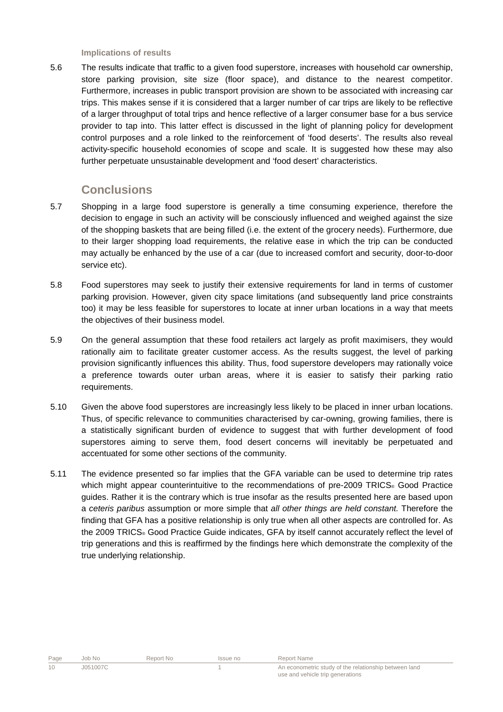**Implications of results** 

5.6 The results indicate that traffic to a given food superstore, increases with household car ownership, store parking provision, site size (floor space), and distance to the nearest competitor. Furthermore, increases in public transport provision are shown to be associated with increasing car trips. This makes sense if it is considered that a larger number of car trips are likely to be reflective of a larger throughput of total trips and hence reflective of a larger consumer base for a bus service provider to tap into. This latter effect is discussed in the light of planning policy for development control purposes and a role linked to the reinforcement of 'food deserts'. The results also reveal activity-specific household economies of scope and scale. It is suggested how these may also further perpetuate unsustainable development and 'food desert' characteristics.

### **Conclusions**

- 5.7 Shopping in a large food superstore is generally a time consuming experience, therefore the decision to engage in such an activity will be consciously influenced and weighed against the size of the shopping baskets that are being filled (i.e. the extent of the grocery needs). Furthermore, due to their larger shopping load requirements, the relative ease in which the trip can be conducted may actually be enhanced by the use of a car (due to increased comfort and security, door-to-door service etc).
- 5.8 Food superstores may seek to justify their extensive requirements for land in terms of customer parking provision. However, given city space limitations (and subsequently land price constraints too) it may be less feasible for superstores to locate at inner urban locations in a way that meets the objectives of their business model.
- 5.9 On the general assumption that these food retailers act largely as profit maximisers, they would rationally aim to facilitate greater customer access. As the results suggest, the level of parking provision significantly influences this ability. Thus, food superstore developers may rationally voice a preference towards outer urban areas, where it is easier to satisfy their parking ratio requirements.
- 5.10 Given the above food superstores are increasingly less likely to be placed in inner urban locations. Thus, of specific relevance to communities characterised by car-owning, growing families, there is a statistically significant burden of evidence to suggest that with further development of food superstores aiming to serve them, food desert concerns will inevitably be perpetuated and accentuated for some other sections of the community.
- 5.11 The evidence presented so far implies that the GFA variable can be used to determine trip rates which might appear counterintuitive to the recommendations of pre-2009 TRICS® Good Practice guides. Rather it is the contrary which is true insofar as the results presented here are based upon a ceteris paribus assumption or more simple that all other things are held constant. Therefore the finding that GFA has a positive relationship is only true when all other aspects are controlled for. As the 2009 TRICS® Good Practice Guide indicates, GFA by itself cannot accurately reflect the level of trip generations and this is reaffirmed by the findings here which demonstrate the complexity of the true underlying relationship.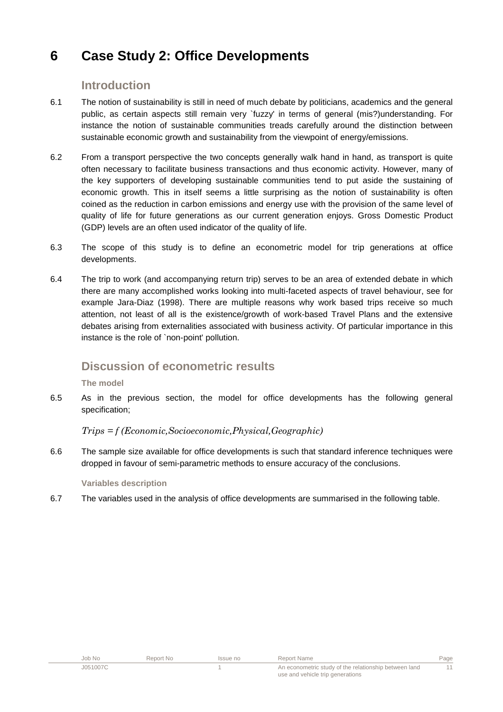# **6 Case Study 2: Office Developments**

### **Introduction**

- 6.1 The notion of sustainability is still in need of much debate by politicians, academics and the general public, as certain aspects still remain very `fuzzy' in terms of general (mis?)understanding. For instance the notion of sustainable communities treads carefully around the distinction between sustainable economic growth and sustainability from the viewpoint of energy/emissions.
- 6.2 From a transport perspective the two concepts generally walk hand in hand, as transport is quite often necessary to facilitate business transactions and thus economic activity. However, many of the key supporters of developing sustainable communities tend to put aside the sustaining of economic growth. This in itself seems a little surprising as the notion of sustainability is often coined as the reduction in carbon emissions and energy use with the provision of the same level of quality of life for future generations as our current generation enjoys. Gross Domestic Product (GDP) levels are an often used indicator of the quality of life.
- 6.3 The scope of this study is to define an econometric model for trip generations at office developments.
- 6.4 The trip to work (and accompanying return trip) serves to be an area of extended debate in which there are many accomplished works looking into multi-faceted aspects of travel behaviour, see for example Jara-Diaz (1998). There are multiple reasons why work based trips receive so much attention, not least of all is the existence/growth of work-based Travel Plans and the extensive debates arising from externalities associated with business activity. Of particular importance in this instance is the role of `non-point' pollution.

## **Discussion of econometric results**

#### **The model**

6.5 As in the previous section, the model for office developments has the following general specification;

#### Trips = f (Economic,Socioeconomic,Physical,Geographic)

6.6 The sample size available for office developments is such that standard inference techniques were dropped in favour of semi-parametric methods to ensure accuracy of the conclusions.

#### **Variables description**

6.7 The variables used in the analysis of office developments are summarised in the following table.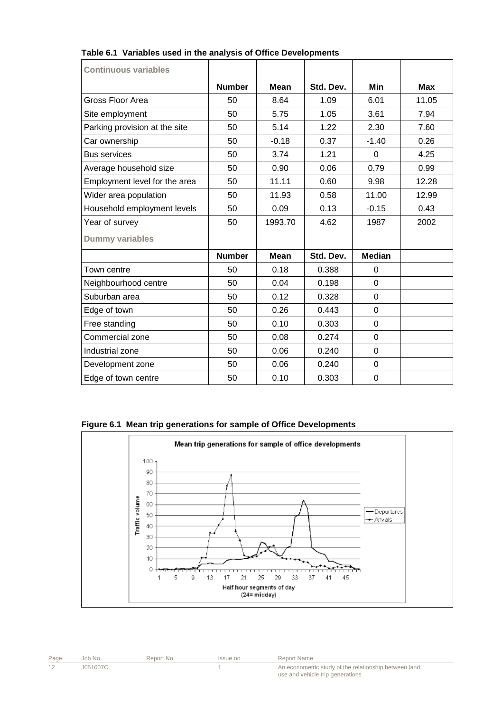| <b>Continuous variables</b>   |               |             |           |                |            |
|-------------------------------|---------------|-------------|-----------|----------------|------------|
|                               | <b>Number</b> | Mean        | Std. Dev. | Min            | <b>Max</b> |
| Gross Floor Area              | 50            | 8.64        | 1.09      | 6.01           | 11.05      |
| Site employment               | 50            | 5.75        | 1.05      | 3.61           | 7.94       |
| Parking provision at the site | 50            | 5.14        | 1.22      | 2.30           | 7.60       |
| Car ownership                 | 50            | $-0.18$     | 0.37      | $-1.40$        | 0.26       |
| <b>Bus services</b>           | 50            | 3.74        | 1.21      | 0              | 4.25       |
| Average household size        | 50            | 0.90        | 0.06      | 0.79           | 0.99       |
| Employment level for the area | 50            | 11.11       | 0.60      | 9.98           | 12.28      |
| Wider area population         | 50            | 11.93       | 0.58      | 11.00          | 12.99      |
| Household employment levels   | 50            | 0.09        | 0.13      | $-0.15$        | 0.43       |
| Year of survey                | 50            | 1993.70     | 4.62      | 1987           | 2002       |
| <b>Dummy variables</b>        |               |             |           |                |            |
|                               | <b>Number</b> | <b>Mean</b> | Std. Dev. | <b>Median</b>  |            |
| Town centre                   | 50            | 0.18        | 0.388     | $\Omega$       |            |
| Neighbourhood centre          | 50            | 0.04        | 0.198     | $\mathbf 0$    |            |
| Suburban area                 | 50            | 0.12        | 0.328     | $\overline{0}$ |            |
| Edge of town                  | 50            | 0.26        | 0.443     | $\overline{0}$ |            |
| Free standing                 | 50            | 0.10        | 0.303     | $\mathbf 0$    |            |
| Commercial zone               | 50            | 0.08        | 0.274     | $\mathbf 0$    |            |
| Industrial zone               | 50            | 0.06        | 0.240     | $\mathbf 0$    |            |
| Development zone              | 50            | 0.06        | 0.240     | $\mathbf 0$    |            |
| Edge of town centre           | 50            | 0.10        | 0.303     | 0              |            |

#### **Table 6.1 Variables used in the analysis of Office Developments**





| Page | Job No   | Report No | Issue no | Report Name                                                                               |
|------|----------|-----------|----------|-------------------------------------------------------------------------------------------|
|      | J051007C |           |          | An econometric study of the relationship between land<br>use and vehicle trip generations |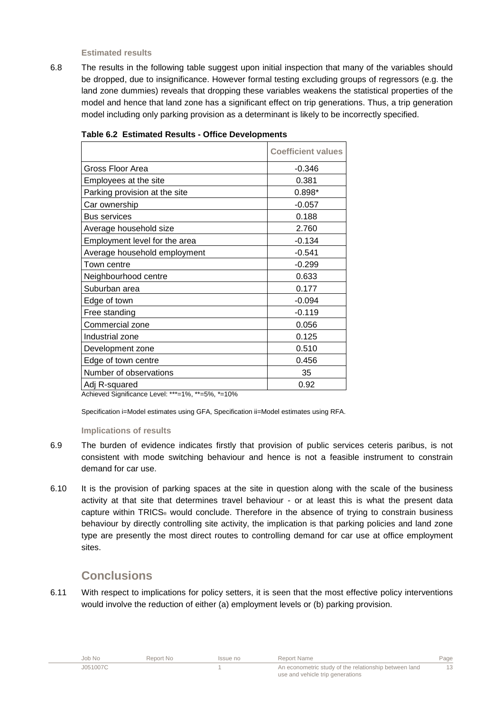**Estimated results** 

6.8 The results in the following table suggest upon initial inspection that many of the variables should be dropped, due to insignificance. However formal testing excluding groups of regressors (e.g. the land zone dummies) reveals that dropping these variables weakens the statistical properties of the model and hence that land zone has a significant effect on trip generations. Thus, a trip generation model including only parking provision as a determinant is likely to be incorrectly specified.

|                               | <b>Coefficient values</b> |
|-------------------------------|---------------------------|
| Gross Floor Area              | $-0.346$                  |
| Employees at the site         | 0.381                     |
| Parking provision at the site | $0.898*$                  |
| Car ownership                 | $-0.057$                  |
| <b>Bus services</b>           | 0.188                     |
| Average household size        | 2.760                     |
| Employment level for the area | $-0.134$                  |
| Average household employment  | $-0.541$                  |
| Town centre                   | $-0.299$                  |
| Neighbourhood centre          | 0.633                     |
| Suburban area                 | 0.177                     |
| Edge of town                  | $-0.094$                  |
| Free standing                 | $-0.119$                  |
| Commercial zone               | 0.056                     |
| Industrial zone               | 0.125                     |
| Development zone              | 0.510                     |
| Edge of town centre           | 0.456                     |
| Number of observations        | 35                        |
| Adj R-squared                 | 0.92                      |

|  |  |  |  | <b>Table 6.2 Estimated Results - Office Developments</b> |
|--|--|--|--|----------------------------------------------------------|
|--|--|--|--|----------------------------------------------------------|

Achieved Significance Level: \*\*\*=1%, \*\*=5%, \*=10%

Specification i=Model estimates using GFA, Specification ii=Model estimates using RFA.

#### **Implications of results**

- 6.9 The burden of evidence indicates firstly that provision of public services ceteris paribus, is not consistent with mode switching behaviour and hence is not a feasible instrument to constrain demand for car use.
- 6.10 It is the provision of parking spaces at the site in question along with the scale of the business activity at that site that determines travel behaviour - or at least this is what the present data capture within TRICS® would conclude. Therefore in the absence of trying to constrain business behaviour by directly controlling site activity, the implication is that parking policies and land zone type are presently the most direct routes to controlling demand for car use at office employment sites.

### **Conclusions**

6.11 With respect to implications for policy setters, it is seen that the most effective policy interventions would involve the reduction of either (a) employment levels or (b) parking provision.

| Job No   | Report No | Issue no | Report Name                                                                               | Page |
|----------|-----------|----------|-------------------------------------------------------------------------------------------|------|
| J051007C |           |          | An econometric study of the relationship between land<br>use and vehicle trip generations |      |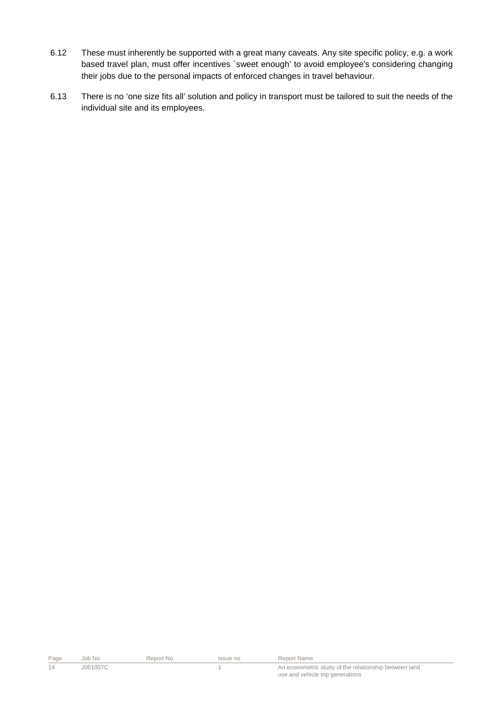- 6.12 These must inherently be supported with a great many caveats. Any site specific policy, e.g. a work based travel plan, must offer incentives `sweet enough' to avoid employee's considering changing their jobs due to the personal impacts of enforced changes in travel behaviour.
- 6.13 There is no 'one size fits all' solution and policy in transport must be tailored to suit the needs of the individual site and its employees.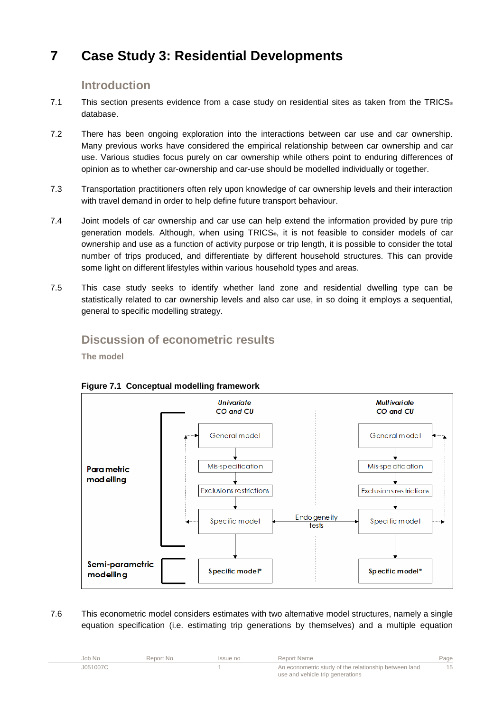# **7 Case Study 3: Residential Developments**

### **Introduction**

- 7.1 This section presents evidence from a case study on residential sites as taken from the TRICS® database.
- 7.2 There has been ongoing exploration into the interactions between car use and car ownership. Many previous works have considered the empirical relationship between car ownership and car use. Various studies focus purely on car ownership while others point to enduring differences of opinion as to whether car-ownership and car-use should be modelled individually or together.
- 7.3 Transportation practitioners often rely upon knowledge of car ownership levels and their interaction with travel demand in order to help define future transport behaviour.
- 7.4 Joint models of car ownership and car use can help extend the information provided by pure trip generation models. Although, when using TRICS®, it is not feasible to consider models of car ownership and use as a function of activity purpose or trip length, it is possible to consider the total number of trips produced, and differentiate by different household structures. This can provide some light on different lifestyles within various household types and areas.
- 7.5 This case study seeks to identify whether land zone and residential dwelling type can be statistically related to car ownership levels and also car use, in so doing it employs a sequential, general to specific modelling strategy.

## **Discussion of econometric results**

**The model** 



**Figure 7.1 Conceptual modelling framework** 

7.6 This econometric model considers estimates with two alternative model structures, namely a single equation specification (i.e. estimating trip generations by themselves) and a multiple equation

| Job No   | Report No | Issue no | Report Name                                           | Page |
|----------|-----------|----------|-------------------------------------------------------|------|
| J051007C |           |          | An econometric study of the relationship between land |      |
|          |           |          | use and vehicle trip generations                      |      |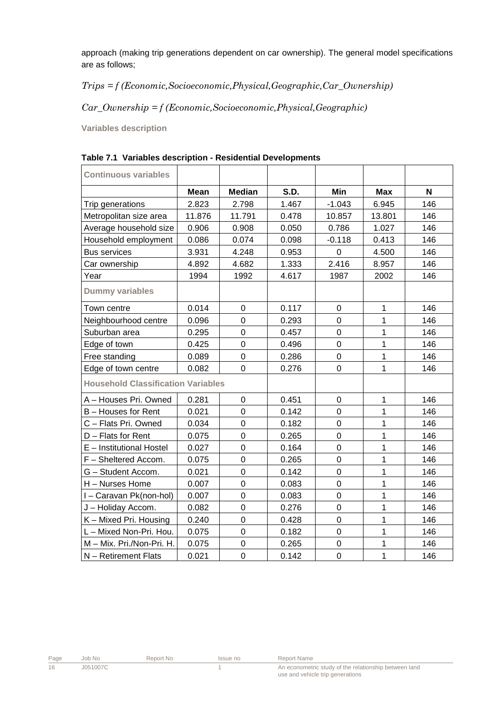approach (making trip generations dependent on car ownership). The general model specifications are as follows;

### Trips = f (Economic,Socioeconomic,Physical,Geographic,Car\_Ownership)

### $Car\_Ownership = f (Economic, Socioeconomic, Physical, Geographic)$

**Variables description** 

| <b>Continuous variables</b>               |             |                  |       |             |              |     |
|-------------------------------------------|-------------|------------------|-------|-------------|--------------|-----|
|                                           | <b>Mean</b> | <b>Median</b>    | S.D.  | Min         | <b>Max</b>   | N   |
| Trip generations                          | 2.823       | 2.798            | 1.467 | $-1.043$    | 6.945        | 146 |
| Metropolitan size area                    | 11.876      | 11.791           | 0.478 | 10.857      | 13.801       | 146 |
| Average household size                    | 0.906       | 0.908            | 0.050 | 0.786       | 1.027        | 146 |
| Household employment                      | 0.086       | 0.074            | 0.098 | $-0.118$    | 0.413        | 146 |
| <b>Bus services</b>                       | 3.931       | 4.248            | 0.953 | 0           | 4.500        | 146 |
| Car ownership                             | 4.892       | 4.682            | 1.333 | 2.416       | 8.957        | 146 |
| Year                                      | 1994        | 1992             | 4.617 | 1987        | 2002         | 146 |
| <b>Dummy variables</b>                    |             |                  |       |             |              |     |
| Town centre                               | 0.014       | $\mathbf 0$      | 0.117 | 0           | $\mathbf{1}$ | 146 |
| Neighbourhood centre                      | 0.096       | $\overline{0}$   | 0.293 | $\mathbf 0$ | 1            | 146 |
| Suburban area                             | 0.295       | $\mathbf 0$      | 0.457 | 0           | $\mathbf{1}$ | 146 |
| Edge of town                              | 0.425       | $\mathbf 0$      | 0.496 | $\mathbf 0$ | $\mathbf{1}$ | 146 |
| Free standing                             | 0.089       | $\mathbf 0$      | 0.286 | $\mathbf 0$ | $\mathbf{1}$ | 146 |
| Edge of town centre                       | 0.082       | $\pmb{0}$        | 0.276 | 0           | $\mathbf{1}$ | 146 |
| <b>Household Classification Variables</b> |             |                  |       |             |              |     |
| A - Houses Pri. Owned                     | 0.281       | 0                | 0.451 | 0           | $\mathbf 1$  | 146 |
| B - Houses for Rent                       | 0.021       | $\mathbf 0$      | 0.142 | 0           | $\mathbf{1}$ | 146 |
| C - Flats Pri. Owned                      | 0.034       | $\overline{0}$   | 0.182 | $\mathbf 0$ | $\mathbf{1}$ | 146 |
| $D$ – Flats for Rent                      | 0.075       | $\mathbf 0$      | 0.265 | $\mathbf 0$ | $\mathbf{1}$ | 146 |
| E - Institutional Hostel                  | 0.027       | $\mathbf 0$      | 0.164 | $\mathbf 0$ | $\mathbf{1}$ | 146 |
| F - Sheltered Accom.                      | 0.075       | $\mathbf 0$      | 0.265 | $\mathbf 0$ | $\mathbf{1}$ | 146 |
| G - Student Accom.                        | 0.021       | $\mathbf 0$      | 0.142 | $\mathbf 0$ | $\mathbf{1}$ | 146 |
| H - Nurses Home                           | 0.007       | $\mathsf 0$      | 0.083 | $\mathsf 0$ | $\mathbf{1}$ | 146 |
| I - Caravan Pk(non-hol)                   | 0.007       | $\mathbf 0$      | 0.083 | $\mathbf 0$ | $\mathbf{1}$ | 146 |
| J - Holiday Accom.                        | 0.082       | $\pmb{0}$        | 0.276 | $\mathbf 0$ | $\mathbf{1}$ | 146 |
| K - Mixed Pri. Housing                    | 0.240       | $\mathbf 0$      | 0.428 | $\mathbf 0$ | $\mathbf{1}$ | 146 |
| L - Mixed Non-Pri. Hou.                   | 0.075       | $\mathsf 0$      | 0.182 | $\mathbf 0$ | $\mathbf{1}$ | 146 |
| M - Mix. Pri./Non-Pri. H.                 | 0.075       | $\mathbf 0$      | 0.265 | $\mathbf 0$ | $\mathbf{1}$ | 146 |
| N - Retirement Flats                      | 0.021       | $\boldsymbol{0}$ | 0.142 | $\mathbf 0$ | $\mathbf{1}$ | 146 |

#### **Table 7.1 Variables description - Residential Developments**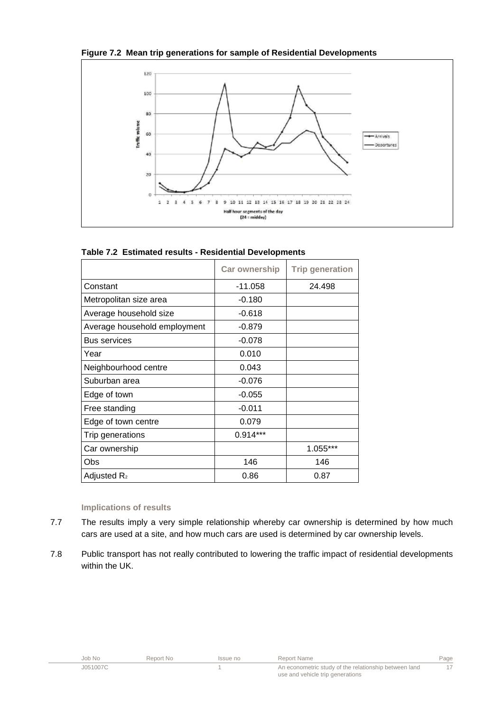



| Table 7.2 Estimated results - Residential Developments |
|--------------------------------------------------------|
|--------------------------------------------------------|

|                              | <b>Car ownership</b> | <b>Trip generation</b> |
|------------------------------|----------------------|------------------------|
| Constant                     | $-11.058$            | 24.498                 |
| Metropolitan size area       | $-0.180$             |                        |
| Average household size       | $-0.618$             |                        |
| Average household employment | $-0.879$             |                        |
| <b>Bus services</b>          | $-0.078$             |                        |
| Year                         | 0.010                |                        |
| Neighbourhood centre         | 0.043                |                        |
| Suburban area                | $-0.076$             |                        |
| Edge of town                 | $-0.055$             |                        |
| Free standing                | $-0.011$             |                        |
| Edge of town centre          | 0.079                |                        |
| Trip generations             | $0.914***$           |                        |
| Car ownership                |                      | 1.055***               |
| Obs                          | 146                  | 146                    |
| Adjusted R <sub>2</sub>      | 0.86                 | 0.87                   |

#### **Implications of results**

- 7.7 The results imply a very simple relationship whereby car ownership is determined by how much cars are used at a site, and how much cars are used is determined by car ownership levels.
- 7.8 Public transport has not really contributed to lowering the traffic impact of residential developments within the UK.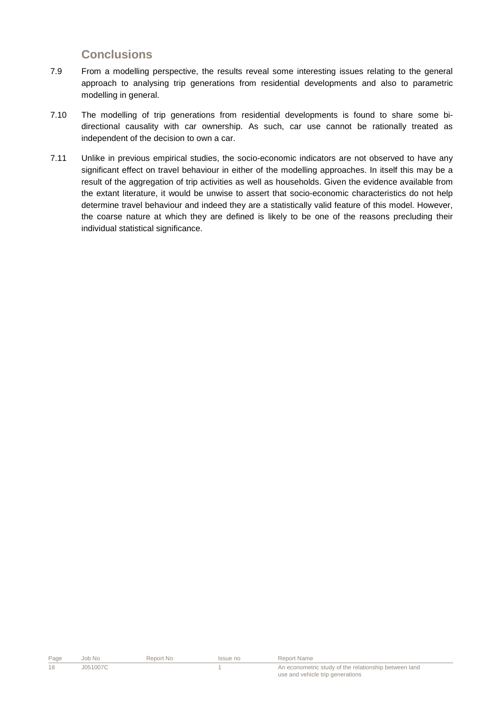## **Conclusions**

- 7.9 From a modelling perspective, the results reveal some interesting issues relating to the general approach to analysing trip generations from residential developments and also to parametric modelling in general.
- 7.10 The modelling of trip generations from residential developments is found to share some bidirectional causality with car ownership. As such, car use cannot be rationally treated as independent of the decision to own a car.
- 7.11 Unlike in previous empirical studies, the socio-economic indicators are not observed to have any significant effect on travel behaviour in either of the modelling approaches. In itself this may be a result of the aggregation of trip activities as well as households. Given the evidence available from the extant literature, it would be unwise to assert that socio-economic characteristics do not help determine travel behaviour and indeed they are a statistically valid feature of this model. However, the coarse nature at which they are defined is likely to be one of the reasons precluding their individual statistical significance.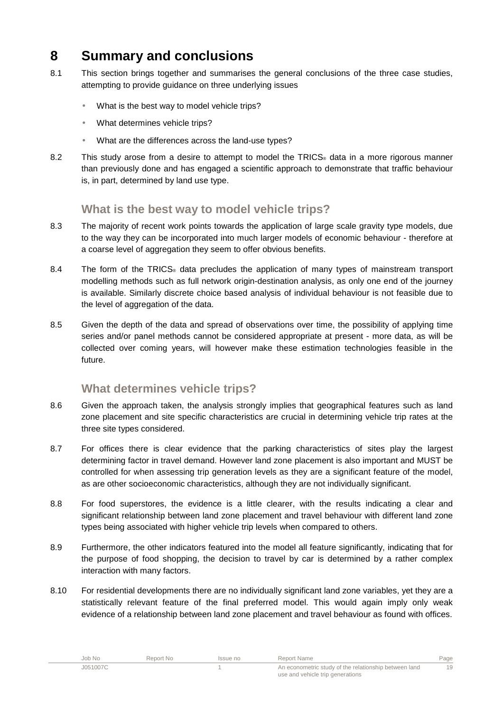# **8 Summary and conclusions**

- 8.1 This section brings together and summarises the general conclusions of the three case studies, attempting to provide guidance on three underlying issues
	- What is the best way to model vehicle trips?
	- What determines vehicle trips?
	- What are the differences across the land-use types?
- 8.2 This study arose from a desire to attempt to model the TRICS<sup>®</sup> data in a more rigorous manner than previously done and has engaged a scientific approach to demonstrate that traffic behaviour is, in part, determined by land use type.

## **What is the best way to model vehicle trips?**

- 8.3 The majority of recent work points towards the application of large scale gravity type models, due to the way they can be incorporated into much larger models of economic behaviour - therefore at a coarse level of aggregation they seem to offer obvious benefits.
- 8.4 The form of the TRICS<sup>®</sup> data precludes the application of many types of mainstream transport modelling methods such as full network origin-destination analysis, as only one end of the journey is available. Similarly discrete choice based analysis of individual behaviour is not feasible due to the level of aggregation of the data.
- 8.5 Given the depth of the data and spread of observations over time, the possibility of applying time series and/or panel methods cannot be considered appropriate at present - more data, as will be collected over coming years, will however make these estimation technologies feasible in the future.

### **What determines vehicle trips?**

- 8.6 Given the approach taken, the analysis strongly implies that geographical features such as land zone placement and site specific characteristics are crucial in determining vehicle trip rates at the three site types considered.
- 8.7 For offices there is clear evidence that the parking characteristics of sites play the largest determining factor in travel demand. However land zone placement is also important and MUST be controlled for when assessing trip generation levels as they are a significant feature of the model, as are other socioeconomic characteristics, although they are not individually significant.
- 8.8 For food superstores, the evidence is a little clearer, with the results indicating a clear and significant relationship between land zone placement and travel behaviour with different land zone types being associated with higher vehicle trip levels when compared to others.
- 8.9 Furthermore, the other indicators featured into the model all feature significantly, indicating that for the purpose of food shopping, the decision to travel by car is determined by a rather complex interaction with many factors.
- 8.10 For residential developments there are no individually significant land zone variables, yet they are a statistically relevant feature of the final preferred model. This would again imply only weak evidence of a relationship between land zone placement and travel behaviour as found with offices.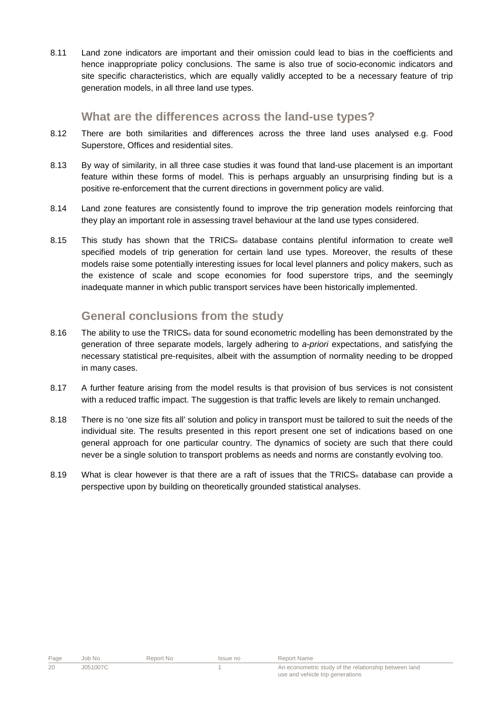8.11 Land zone indicators are important and their omission could lead to bias in the coefficients and hence inappropriate policy conclusions. The same is also true of socio-economic indicators and site specific characteristics, which are equally validly accepted to be a necessary feature of trip generation models, in all three land use types.

#### **What are the differences across the land-use types?**

- 8.12 There are both similarities and differences across the three land uses analysed e.g. Food Superstore, Offices and residential sites.
- 8.13 By way of similarity, in all three case studies it was found that land-use placement is an important feature within these forms of model. This is perhaps arguably an unsurprising finding but is a positive re-enforcement that the current directions in government policy are valid.
- 8.14 Land zone features are consistently found to improve the trip generation models reinforcing that they play an important role in assessing travel behaviour at the land use types considered.
- 8.15 This study has shown that the TRICS<sup>®</sup> database contains plentiful information to create well specified models of trip generation for certain land use types. Moreover, the results of these models raise some potentially interesting issues for local level planners and policy makers, such as the existence of scale and scope economies for food superstore trips, and the seemingly inadequate manner in which public transport services have been historically implemented.

### **General conclusions from the study**

- 8.16 The ability to use the TRICS<sup>®</sup> data for sound econometric modelling has been demonstrated by the generation of three separate models, largely adhering to a-priori expectations, and satisfying the necessary statistical pre-requisites, albeit with the assumption of normality needing to be dropped in many cases.
- 8.17 A further feature arising from the model results is that provision of bus services is not consistent with a reduced traffic impact. The suggestion is that traffic levels are likely to remain unchanged.
- 8.18 There is no 'one size fits all' solution and policy in transport must be tailored to suit the needs of the individual site. The results presented in this report present one set of indications based on one general approach for one particular country. The dynamics of society are such that there could never be a single solution to transport problems as needs and norms are constantly evolving too.
- 8.19 What is clear however is that there are a raft of issues that the TRICS<sub>®</sub> database can provide a perspective upon by building on theoretically grounded statistical analyses.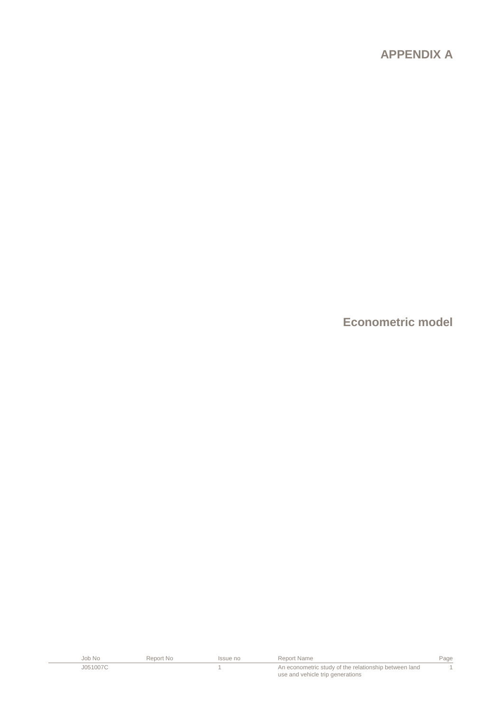## **APPENDIX A**

**Econometric model** 

| Job No   | Report No | Issue no | Report Name                                           | Page |
|----------|-----------|----------|-------------------------------------------------------|------|
| J051007C |           |          | An econometric study of the relationship between land |      |
|          |           |          | use and vehicle trip generations                      |      |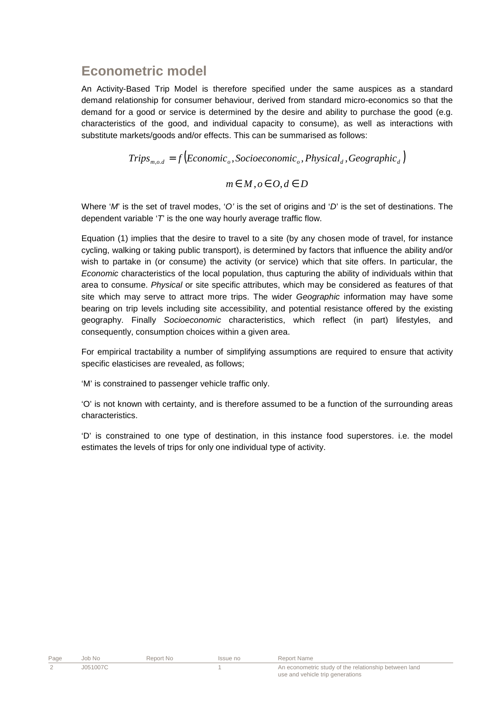## **Econometric model**

An Activity-Based Trip Model is therefore specified under the same auspices as a standard demand relationship for consumer behaviour, derived from standard micro-economics so that the demand for a good or service is determined by the desire and ability to purchase the good (e.g. characteristics of the good, and individual capacity to consume), as well as interactions with substitute markets/goods and/or effects. This can be summarised as follows:

$$
Trips_{m,o,d} = f\left(Economic_o, Socioeconomic_o, Physical_d, Geographic_d\right)
$$

$$
m \in M, o \in O, d \in D
$$

Where 'M' is the set of travel modes, 'O' is the set of origins and 'D' is the set of destinations. The dependent variable  $T$  is the one way hourly average traffic flow.

Equation (1) implies that the desire to travel to a site (by any chosen mode of travel, for instance cycling, walking or taking public transport), is determined by factors that influence the ability and/or wish to partake in (or consume) the activity (or service) which that site offers. In particular, the Economic characteristics of the local population, thus capturing the ability of individuals within that area to consume. Physical or site specific attributes, which may be considered as features of that site which may serve to attract more trips. The wider *Geographic* information may have some bearing on trip levels including site accessibility, and potential resistance offered by the existing geography. Finally Socioeconomic characteristics, which reflect (in part) lifestyles, and consequently, consumption choices within a given area.

For empirical tractability a number of simplifying assumptions are required to ensure that activity specific elasticises are revealed, as follows;

'M' is constrained to passenger vehicle traffic only.

'O' is not known with certainty, and is therefore assumed to be a function of the surrounding areas characteristics.

'D' is constrained to one type of destination, in this instance food superstores. i.e. the model estimates the levels of trips for only one individual type of activity.

| Page | Job No   | Report No | Issue no | Report Name                                           |
|------|----------|-----------|----------|-------------------------------------------------------|
|      | J051007C |           |          | An econometric study of the relationship between land |
|      |          |           |          | use and vehicle trip generations                      |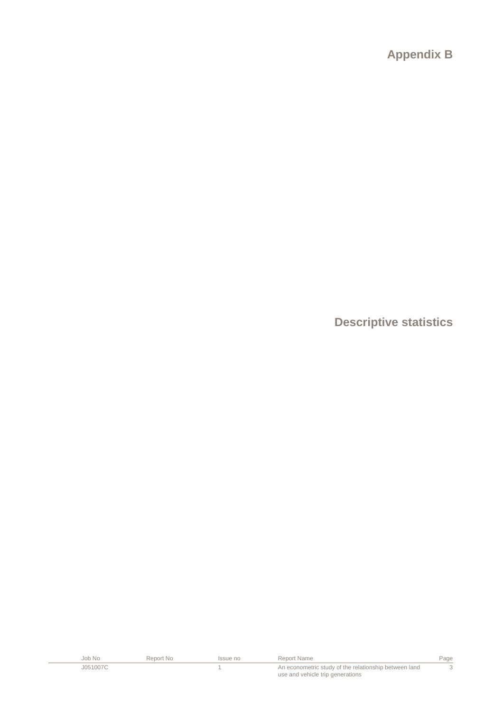**Appendix B** 

**Descriptive statistics** 

| Job No   | Report No | Issue no | Report Name                                           | Page |
|----------|-----------|----------|-------------------------------------------------------|------|
| J051007C |           |          | An econometric study of the relationship between land |      |
|          |           |          | use and vehicle trip generations                      |      |